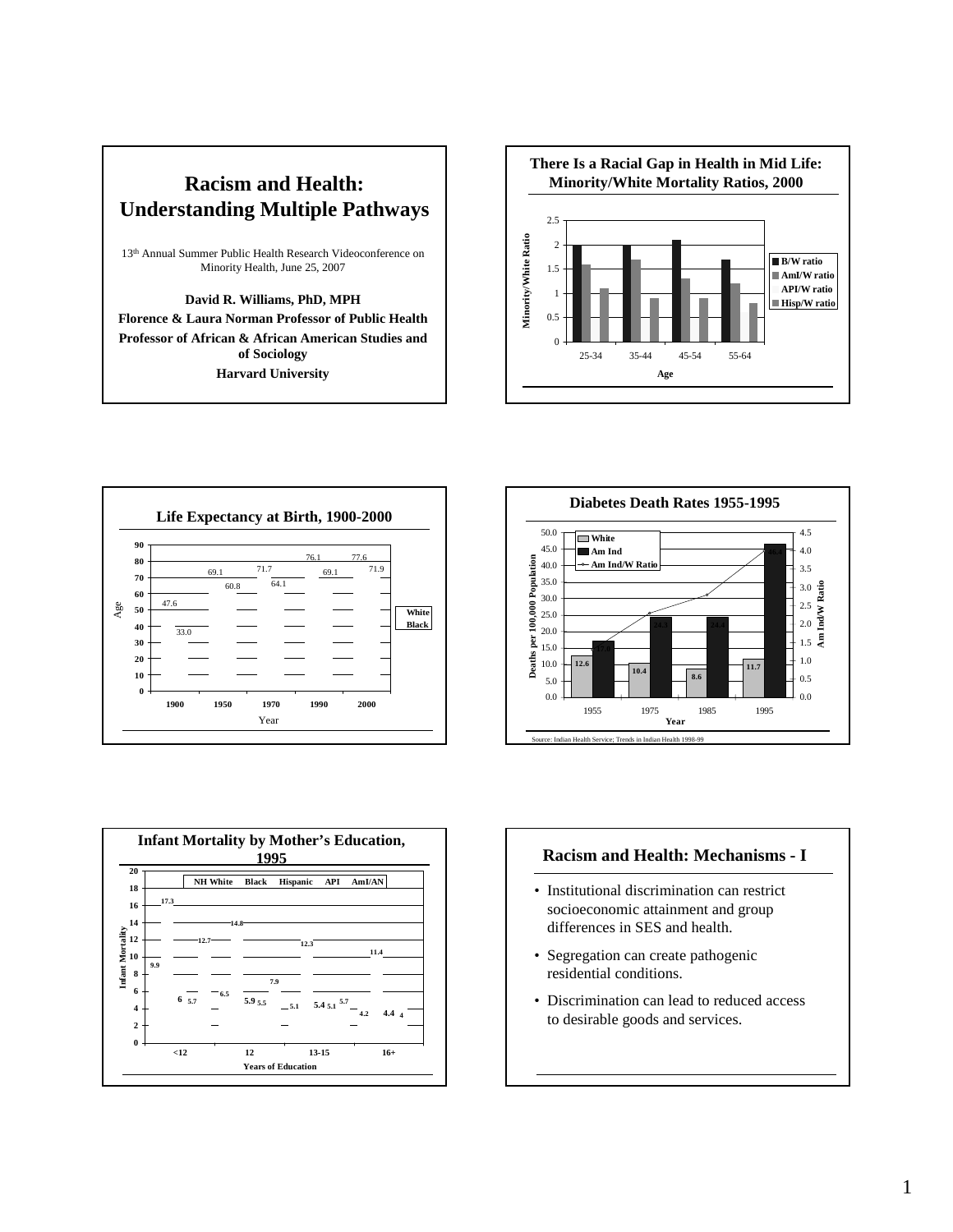









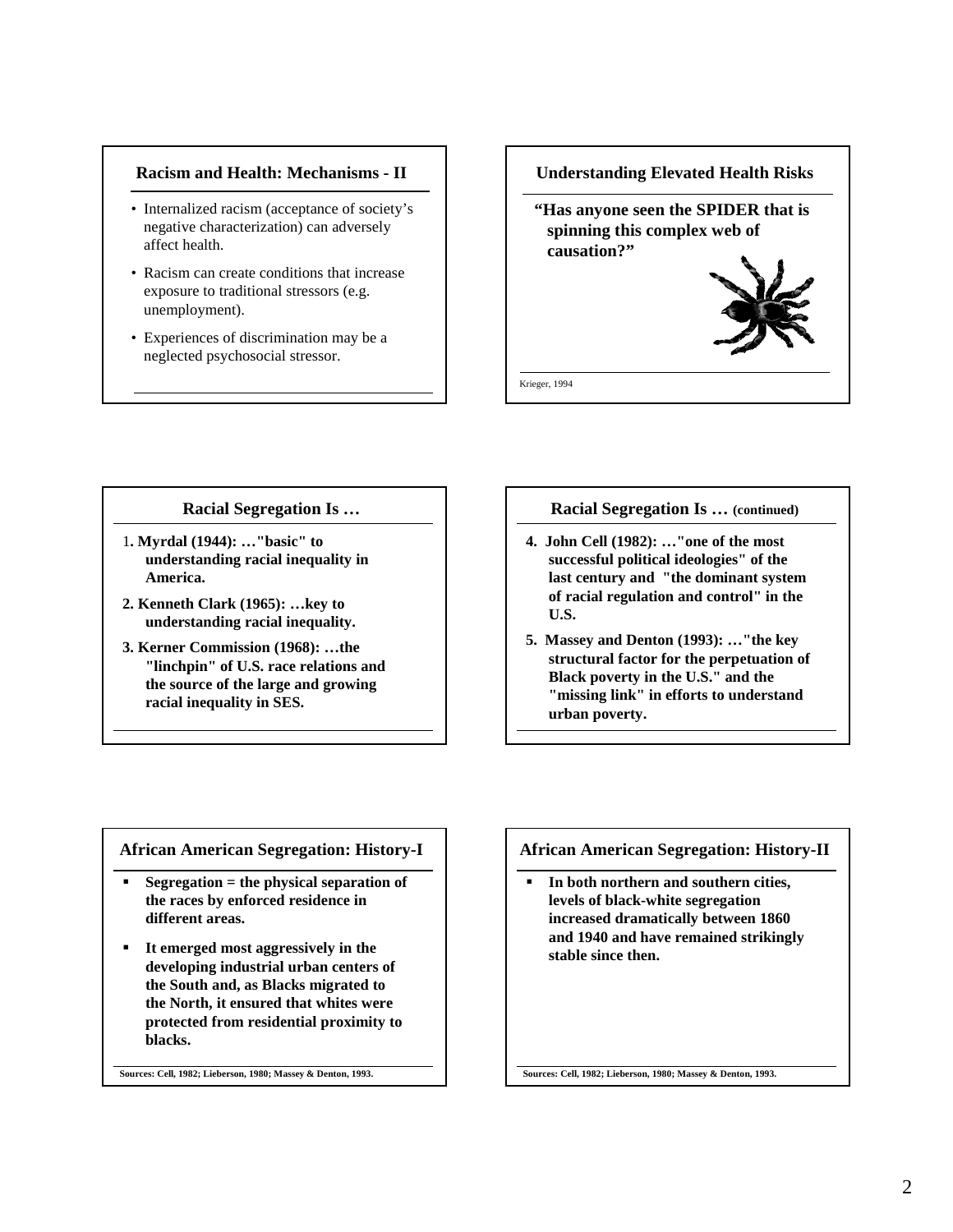#### **Racism and Health: Mechanisms - II**

- Internalized racism (acceptance of society's negative characterization) can adversely affect health.
- Racism can create conditions that increase exposure to traditional stressors (e.g. unemployment).
- Experiences of discrimination may be a neglected psychosocial stressor.



Krieger, 1994

#### **Racial Segregation Is …**

- 1**. Myrdal (1944): …"basic" to understanding racial inequality in America.**
- **2. Kenneth Clark (1965): …key to understanding racial inequality.**
- **3. Kerner Commission (1968): …the "linchpin" of U.S. race relations and the source of the large and growing racial inequality in SES.**

#### **Racial Segregation Is … (continued)**

- **4. John Cell (1982): …"one of the most successful political ideologies" of the last century and "the dominant system of racial regulation and control" in the U.S.**
- **5. Massey and Denton (1993): …"the key structural factor for the perpetuation of Black poverty in the U.S." and the "missing link" in efforts to understand urban poverty.**

#### **African American Segregation: History-I**

- ! **Segregation = the physical separation of the races by enforced residence in different areas.**
- ! **It emerged most aggressively in the developing industrial urban centers of the South and, as Blacks migrated to the North, it ensured that whites were protected from residential proximity to blacks.**

**Sources: Cell, 1982; Lieberson, 1980; Massey & Denton, 1993.**

#### **African American Segregation: History-II**

! **In both northern and southern cities, levels of black-white segregation increased dramatically between 1860 and 1940 and have remained strikingly stable since then.**

**Sources: Cell, 1982; Lieberson, 1980; Massey & Denton, 1993.**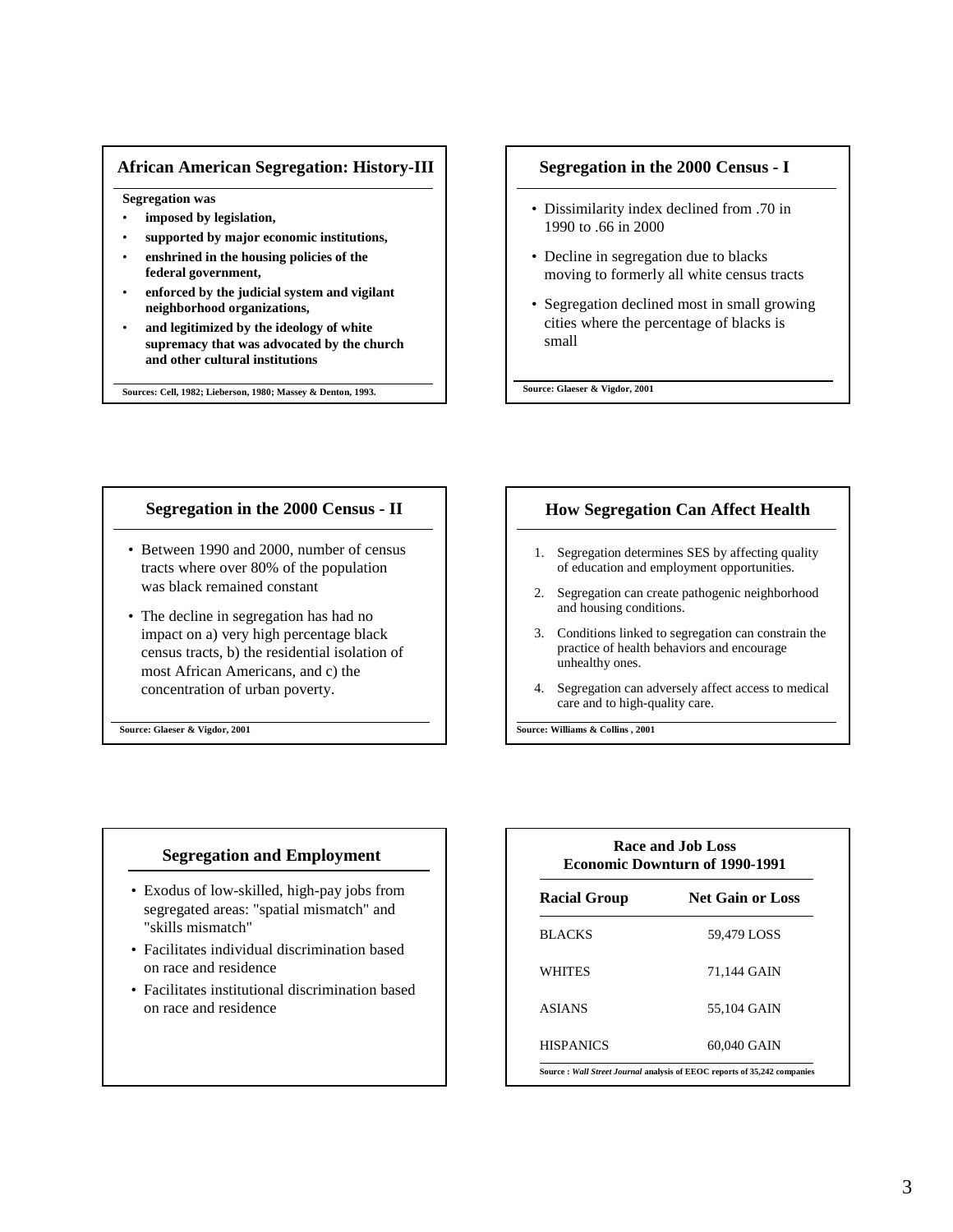#### **African American Segregation: History-III**

**Segregation was** 

- **imposed by legislation,**
- **supported by major economic institutions,**
- **enshrined in the housing policies of the federal government,**
- **enforced by the judicial system and vigilant neighborhood organizations,**
- **and legitimized by the ideology of white supremacy that was advocated by the church and other cultural institutions**

**Sources: Cell, 1982; Lieberson, 1980; Massey & Denton, 1993.**

#### **Segregation in the 2000 Census - I**

- Dissimilarity index declined from .70 in 1990 to .66 in 2000
- Decline in segregation due to blacks moving to formerly all white census tracts
- Segregation declined most in small growing cities where the percentage of blacks is small

**Source: Glaeser & Vigdor, 2001**

### **Segregation in the 2000 Census - II**

- Between 1990 and 2000, number of census tracts where over 80% of the population was black remained constant
- The decline in segregation has had no impact on a) very high percentage black census tracts, b) the residential isolation of most African Americans, and c) the concentration of urban poverty.

**Source: Glaeser & Vigdor, 2001**

### **How Segregation Can Affect Health**

- 1. Segregation determines SES by affecting quality of education and employment opportunities.
- 2. Segregation can create pathogenic neighborhood and housing conditions.
- 3. Conditions linked to segregation can constrain the practice of health behaviors and encourage unhealthy ones.
- 4. Segregation can adversely affect access to medical care and to high-quality care.

**Source: Williams & Collins , 2001**

### **Segregation and Employment**

- Exodus of low-skilled, high-pay jobs from segregated areas: "spatial mismatch" and "skills mismatch"
- Facilitates individual discrimination based on race and residence
- Facilitates institutional discrimination based on race and residence

| Race and Job Loss<br><b>Economic Downturn of 1990-1991</b> |                                                                          |  |  |
|------------------------------------------------------------|--------------------------------------------------------------------------|--|--|
| <b>Racial Group</b>                                        | <b>Net Gain or Loss</b>                                                  |  |  |
| <b>BLACKS</b>                                              | 59,479 LOSS                                                              |  |  |
| WHITES                                                     | 71.144 GAIN                                                              |  |  |
| <b>ASIANS</b>                                              | 55.104 GAIN                                                              |  |  |
| <b>HISPANICS</b>                                           | 60,040 GAIN                                                              |  |  |
|                                                            | Source: Wall Street Journal analysis of EEOC reports of 35,242 companies |  |  |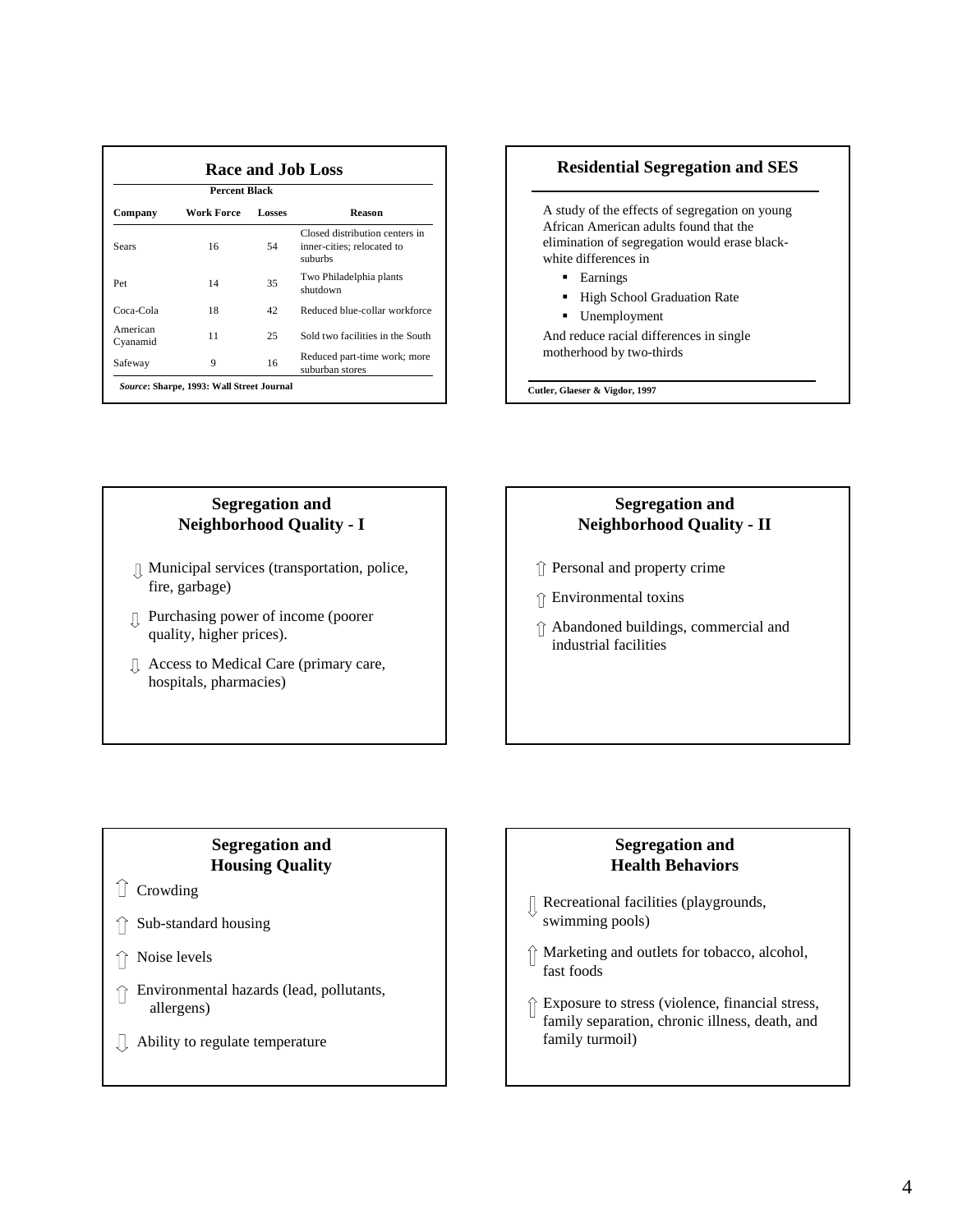|                      | Percent Black |        |                                                                         |
|----------------------|---------------|--------|-------------------------------------------------------------------------|
| Company              | Work Force    | Losses | Reason                                                                  |
| <b>Sears</b>         | 16            | 54     | Closed distribution centers in<br>inner-cities; relocated to<br>suburbs |
| Pet                  | 14            | 35     | Two Philadelphia plants<br>shutdown                                     |
| Coca-Cola            | 18            | 42     | Reduced blue-collar workforce                                           |
| American<br>Cyanamid | 11            | 25     | Sold two facilities in the South                                        |
| Safeway              | 9             | 16     | Reduced part-time work; more<br>suburban stores                         |

#### **Residential Segregation and SES**

A study of the effects of segregation on young African American adults found that the elimination of segregation would erase blackwhite differences in

- **Earnings**
- ! High School Graduation Rate
- ! Unemployment

And reduce racial differences in single motherhood by two-thirds

**Cutler, Glaeser & Vigdor, 1997**

### **Segregation and Neighborhood Quality - I**

- Municipal services (transportation, police, fire, garbage)
- Purchasing power of income (poorer quality, higher prices).
- Access to Medical Care (primary care, hospitals, pharmacies)

### **Segregation and Neighborhood Quality - II**

- $\hat{p}$  Personal and property crime
- Environmental toxins
- Abandoned buildings, commercial and industrial facilities

### **Segregation and Housing Quality**

- Crowding
- $\hat{a}$  Sub-standard housing
- $\hat{\parallel}$  Noise levels
- Environmental hazards (lead, pollutants, allergens)
- Ability to regulate temperature

### **Segregation and Health Behaviors**

- Recreational facilities (playgrounds, swimming pools)
- Marketing and outlets for tobacco, alcohol, fast foods
- Exposure to stress (violence, financial stress, family separation, chronic illness, death, and family turmoil)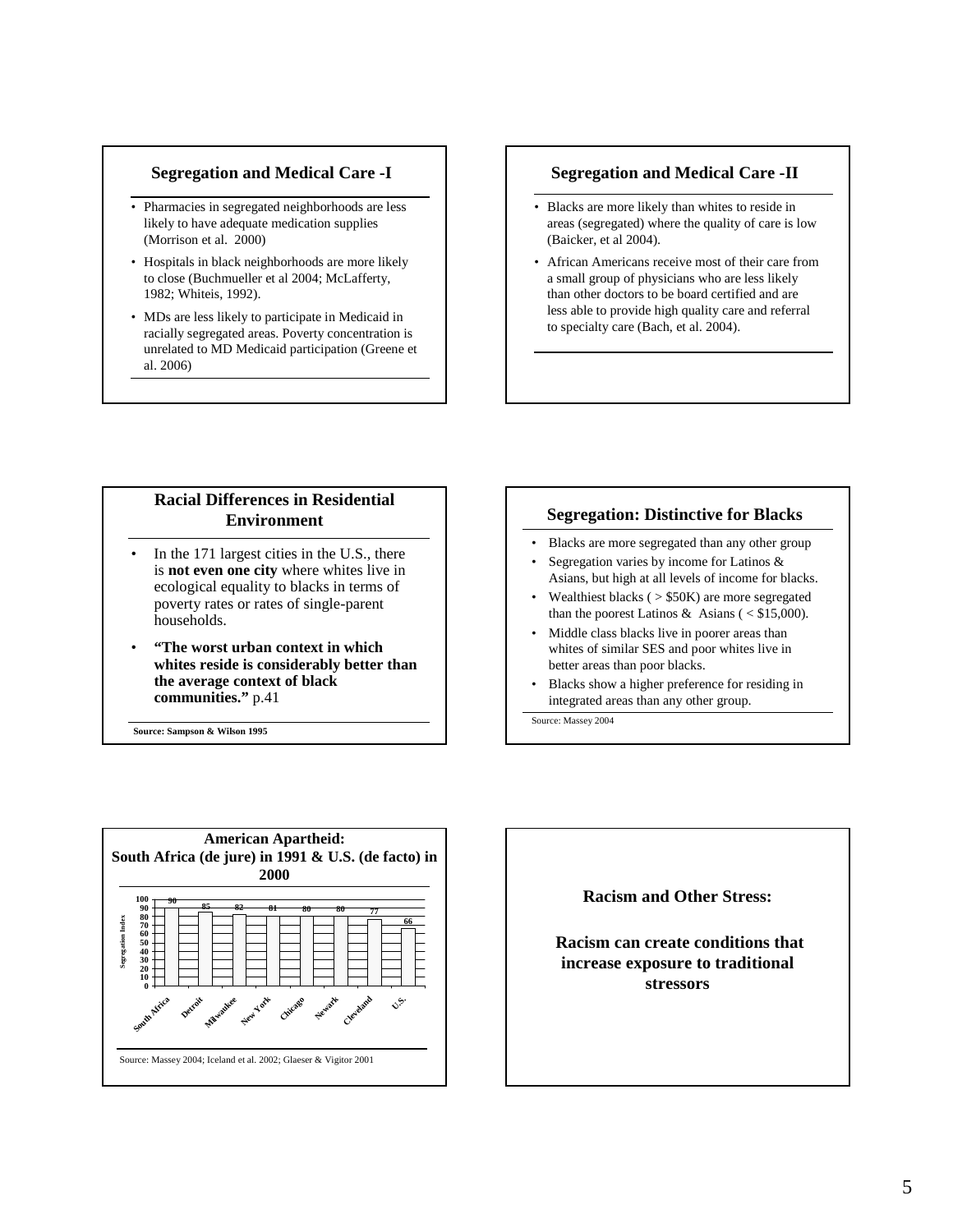#### **Segregation and Medical Care -I**

- Pharmacies in segregated neighborhoods are less likely to have adequate medication supplies (Morrison et al. 2000)
- Hospitals in black neighborhoods are more likely to close (Buchmueller et al 2004; McLafferty, 1982; Whiteis, 1992).
- MDs are less likely to participate in Medicaid in racially segregated areas. Poverty concentration is unrelated to MD Medicaid participation (Greene et al. 2006)

#### **Segregation and Medical Care -II**

- Blacks are more likely than whites to reside in areas (segregated) where the quality of care is low (Baicker, et al 2004).
- African Americans receive most of their care from a small group of physicians who are less likely than other doctors to be board certified and are less able to provide high quality care and referral to specialty care (Bach, et al. 2004).

### **Racial Differences in Residential Environment**

- In the 171 largest cities in the U.S., there is **not even one city** where whites live in ecological equality to blacks in terms of poverty rates or rates of single-parent households.
- **"The worst urban context in which whites reside is considerably better than the average context of black communities."** p.41

**Source: Sampson & Wilson 1995**

### **Segregation: Distinctive for Blacks**

- Blacks are more segregated than any other group
- Segregation varies by income for Latinos & Asians, but high at all levels of income for blacks.
- Wealthiest blacks ( $> $50K$ ) are more segregated than the poorest Latinos & Asians  $\left( < $15,000 \right)$ .
- Middle class blacks live in poorer areas than whites of similar SES and poor whites live in better areas than poor blacks.
- Blacks show a higher preference for residing in integrated areas than any other group.

Source: Massey 2004



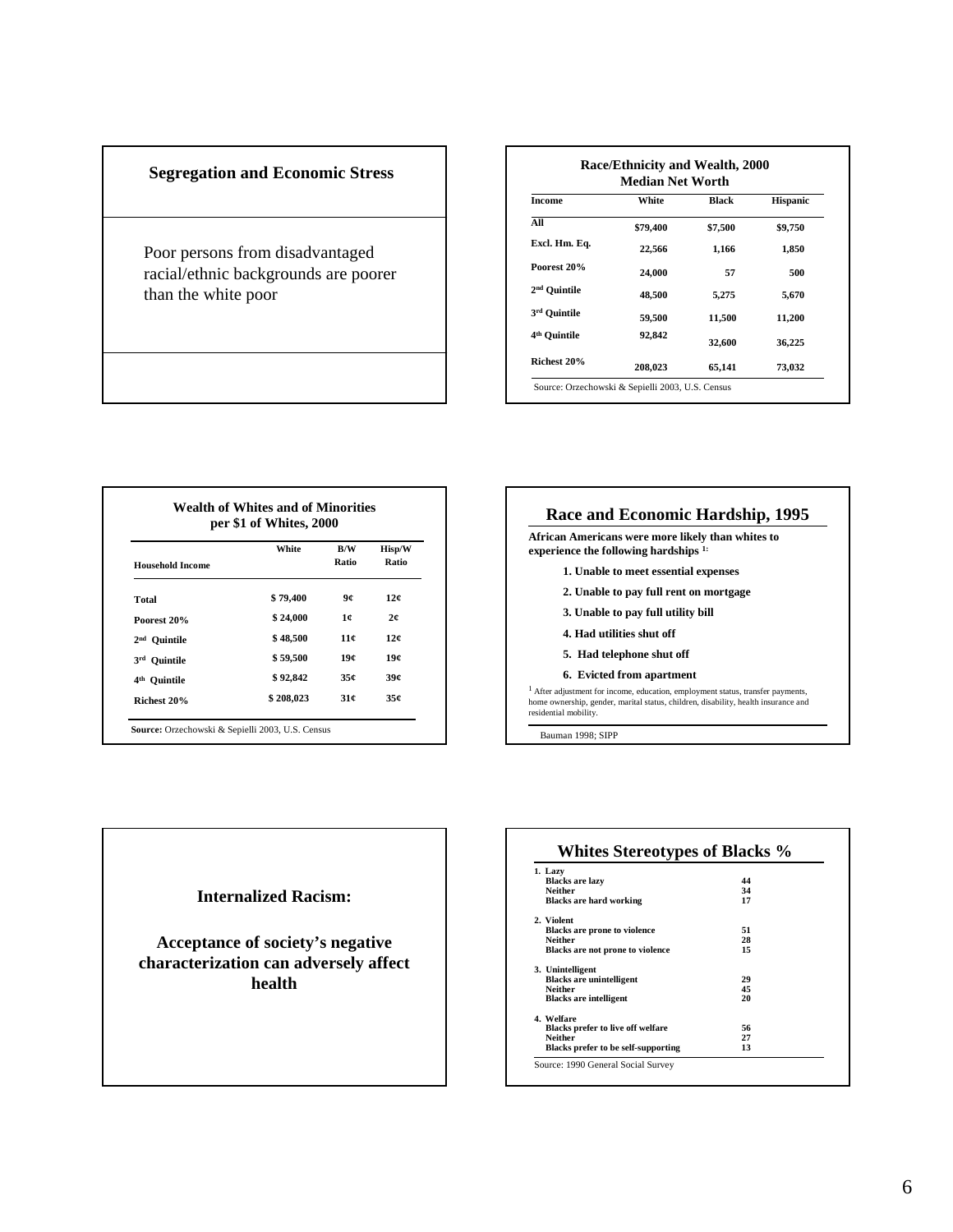### **Segregation and Economic Stress**

Poor persons from disadvantaged racial/ethnic backgrounds are poorer than the white poor

|                          | <b>Median Net Worth</b> |         |                 |
|--------------------------|-------------------------|---------|-----------------|
| <b>Income</b>            | White                   | Black   | <b>Hispanic</b> |
| All                      | \$79,400                | \$7,500 | \$9,750         |
| Excl. Hm. Eq.            | 22,566                  | 1,166   | 1.850           |
| Poorest 20%              | 24,000                  | 57      | 500             |
| 2 <sup>nd</sup> Ouintile | 48,500                  | 5,275   | 5.670           |
| 3rd Ouintile             | 59,500                  | 11,500  | 11,200          |
| 4 <sup>th</sup> Quintile | 92,842                  | 32,600  | 36,225          |
| Richest 20%              | 208,023                 | 65,141  | 73,032          |

|                          | White     | B/W   | Hisp/W          |  |
|--------------------------|-----------|-------|-----------------|--|
| <b>Household Income</b>  |           | Ratio | Ratio           |  |
| Total                    | \$79,400  | 9¢    | 12 <sub>c</sub> |  |
| Poorest 20%              | \$24,000  | 1¢    | 2¢              |  |
| 2 <sup>nd</sup> Ouintile | \$48,500  | 11¢   | 12 <sub>c</sub> |  |
| 3rd Quintile             | \$59,500  | 19¢   | 19¢             |  |
| 4 <sup>th</sup> Ouintile | \$92,842  | 35e   | 39¢             |  |
| Richest 20%              | \$208,023 | 31e   | 35¢             |  |

#### **Race and Economic Hardship, 1995 African Americans were more likely than whites to experience the following hardships 1:**

- **1. Unable to meet essential expenses**
- **2. Unable to pay full rent on mortgage**
- **3. Unable to pay full utility bill**
- **4. Had utilities shut off**
- **5. Had telephone shut off**
- **6. Evicted from apartment**

1 After adjustment for income, education, employment status, transfer payments, home ownership, gender, marital status, children, disability, health insurance and residential mobility.

Bauman 1998; SIPP

| <b>Internalized Racism:</b>                                               |
|---------------------------------------------------------------------------|
| Acceptance of society's negative<br>characterization can adversely affect |
| health                                                                    |
|                                                                           |
|                                                                           |

| 1. Lazy                                    |    |
|--------------------------------------------|----|
| <b>Blacks are lazy</b>                     | 44 |
| Neither                                    | 34 |
| <b>Blacks are hard working</b>             | 17 |
| 2. Violent                                 |    |
| <b>Blacks are prone to violence</b>        | 51 |
| <b>Neither</b>                             | 28 |
| <b>Blacks are not prone to violence</b>    | 15 |
| 3. Unintelligent                           |    |
| <b>Blacks are unintelligent</b>            | 29 |
| Neither                                    | 45 |
| <b>Blacks are intelligent</b>              | 20 |
| 4. Welfare                                 |    |
| <b>Blacks prefer to live off welfare</b>   | 56 |
| <b>Neither</b>                             | 27 |
| <b>Blacks prefer to be self-supporting</b> | 13 |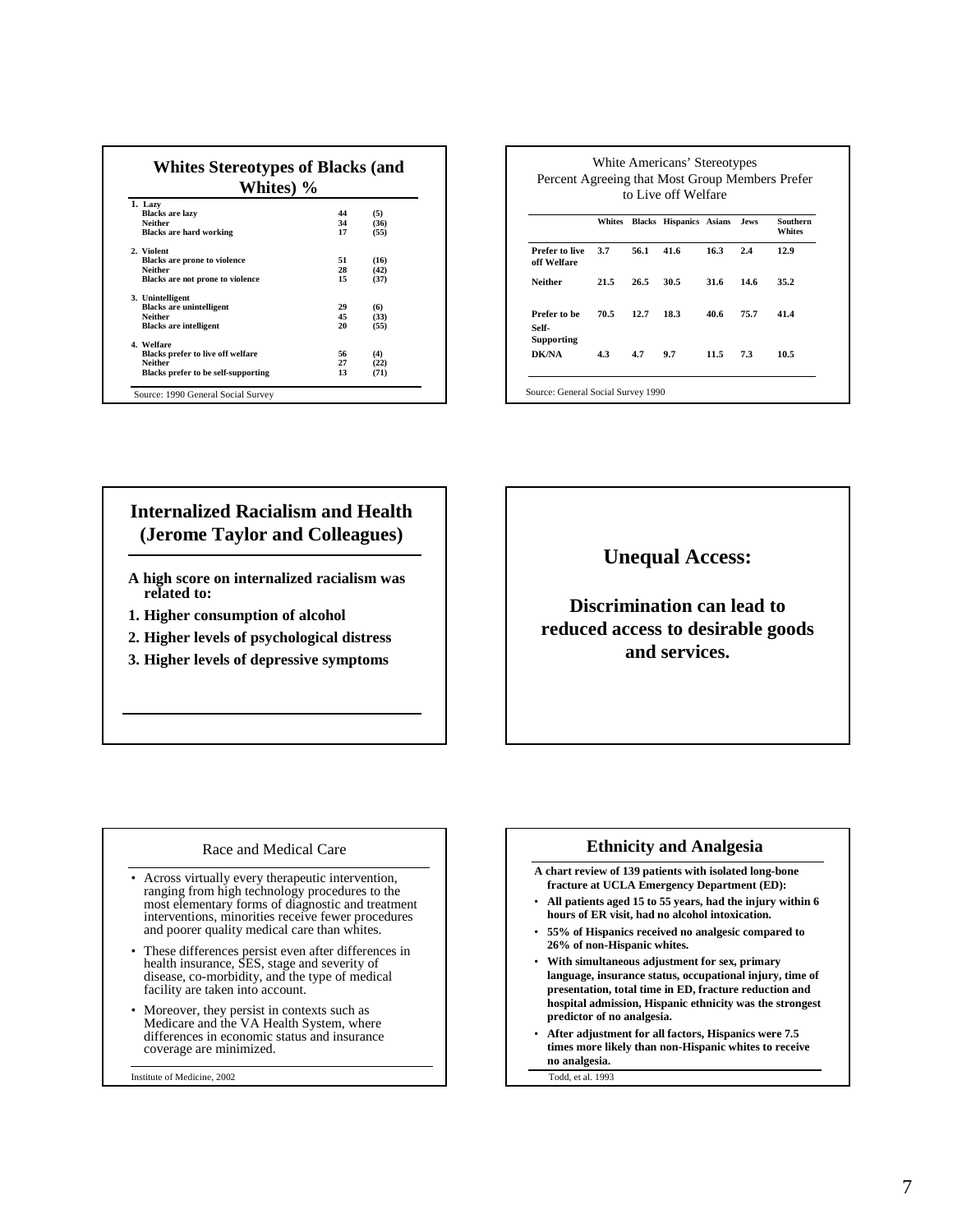| Whites) %                                  |    |      |  |  |
|--------------------------------------------|----|------|--|--|
| 1. Lazy                                    |    |      |  |  |
| <b>Blacks are lazy</b>                     | 44 | (5)  |  |  |
| <b>Neither</b>                             | 34 | (36) |  |  |
| <b>Blacks are hard working</b>             | 17 | (55) |  |  |
| 2. Violent                                 |    |      |  |  |
| <b>Blacks are prone to violence</b>        | 51 | (16) |  |  |
| <b>Neither</b>                             | 28 | (42) |  |  |
| <b>Blacks are not prone to violence</b>    | 15 | (37) |  |  |
| 3. Unintelligent                           |    |      |  |  |
| <b>Blacks are unintelligent</b>            | 29 | (6)  |  |  |
| <b>Neither</b>                             | 45 | (33) |  |  |
| <b>Blacks are intelligent</b>              | 20 | (55) |  |  |
| 4. Welfare                                 |    |      |  |  |
| <b>Blacks prefer to live off welfare</b>   | 56 | (4)  |  |  |
| <b>Neither</b>                             | 27 | (22) |  |  |
| <b>Blacks prefer to be self-supporting</b> | 13 | (71) |  |  |

|                               |        |      | to Live off Welfare            |      |             |                           |
|-------------------------------|--------|------|--------------------------------|------|-------------|---------------------------|
|                               | Whites |      | <b>Blacks Hispanics Asians</b> |      | <b>Jews</b> | Southern<br><b>Whites</b> |
| Prefer to live<br>off Welfare | 3.7    | 56.1 | 41.6                           | 16.3 | 2.4         | 12.9                      |
| <b>Neither</b>                | 21.5   | 26.5 | 30.5                           | 31.6 | 14.6        | 35.2                      |
| Prefer to be<br>Self-         | 70.5   | 12.7 | 18.3                           | 40.6 | 75.7        | 41.4                      |
| <b>Supporting</b><br>DK/NA    | 4.3    | 4.7  | 9.7                            | 11.5 | 7.3         | 10.5                      |

# **Internalized Racialism and Health (Jerome Taylor and Colleagues)**

- **A high score on internalized racialism was related to:**
- **1. Higher consumption of alcohol**
- **2. Higher levels of psychological distress**
- **3. Higher levels of depressive symptoms**

# **Unequal Access:**

**Discrimination can lead to reduced access to desirable goods and services.**

#### Race and Medical Care

- Across virtually every therapeutic intervention, ranging from high technology procedures to the most elementary forms of diagnostic and treatment interventions, minorities receive fewer procedures and poorer quality medical care than whites.
- These differences persist even after differences in health insurance, SES, stage and severity of disease, co-morbidity, and the type of medical facility are taken into account.
- Moreover, they persist in contexts such as Medicare and the VA Health System, where differences in economic status and insurance coverage are minimized.

Institute of Medicine, 2002

#### **Ethnicity and Analgesia**

- **A chart review of 139 patients with isolated long-bone fracture at UCLA Emergency Department (ED):**
- **All patients aged 15 to 55 years, had the injury within 6 hours of ER visit, had no alcohol intoxication.**
- **55% of Hispanics received no analgesic compared to 26% of non-Hispanic whites.**
- **With simultaneous adjustment for sex, primary language, insurance status, occupational injury, time of presentation, total time in ED, fracture reduction and hospital admission, Hispanic ethnicity was the strongest predictor of no analgesia.**
- **After adjustment for all factors, Hispanics were 7.5 times more likely than non-Hispanic whites to receive no analgesia.**

Todd, et al. 1993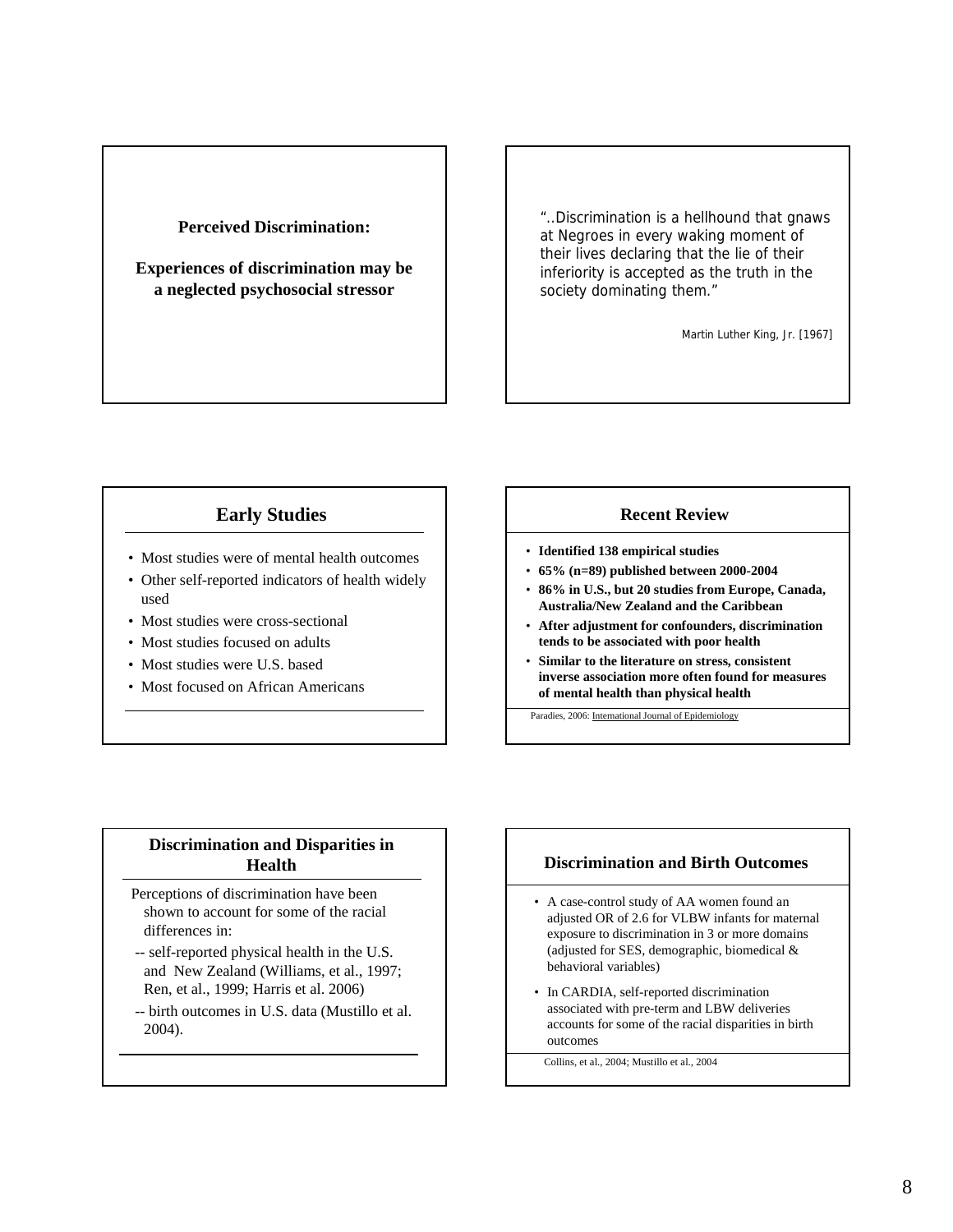### **Perceived Discrimination:**

**Experiences of discrimination may be a neglected psychosocial stressor**

"..Discrimination is a hellhound that gnaws at Negroes in every waking moment of their lives declaring that the lie of their inferiority is accepted as the truth in the society dominating them."

Martin Luther King, Jr. [1967]

# **Early Studies**

- Most studies were of mental health outcomes
- Other self-reported indicators of health widely used
- Most studies were cross-sectional
- Most studies focused on adults
- Most studies were U.S. based
- Most focused on African Americans

### **Recent Review**

- **Identified 138 empirical studies**
- **65% (n=89) published between 2000-2004**
- **86% in U.S., but 20 studies from Europe, Canada, Australia/New Zealand and the Caribbean**
- **After adjustment for confounders, discrimination tends to be associated with poor health**
- **Similar to the literature on stress, consistent inverse association more often found for measures of mental health than physical health**

Paradies, 2006: International Journal of Epidemiology

### **Discrimination and Disparities in Health**

- Perceptions of discrimination have been shown to account for some of the racial differences in:
- -- self-reported physical health in the U.S. and New Zealand (Williams, et al., 1997; Ren, et al., 1999; Harris et al. 2006)
- -- birth outcomes in U.S. data (Mustillo et al. 2004).

### **Discrimination and Birth Outcomes**

- A case-control study of AA women found an adjusted OR of 2.6 for VLBW infants for maternal exposure to discrimination in 3 or more domains (adjusted for SES, demographic, biomedical & behavioral variables)
- In CARDIA, self-reported discrimination associated with pre-term and LBW deliveries accounts for some of the racial disparities in birth outcomes

Collins, et al., 2004; Mustillo et al., 2004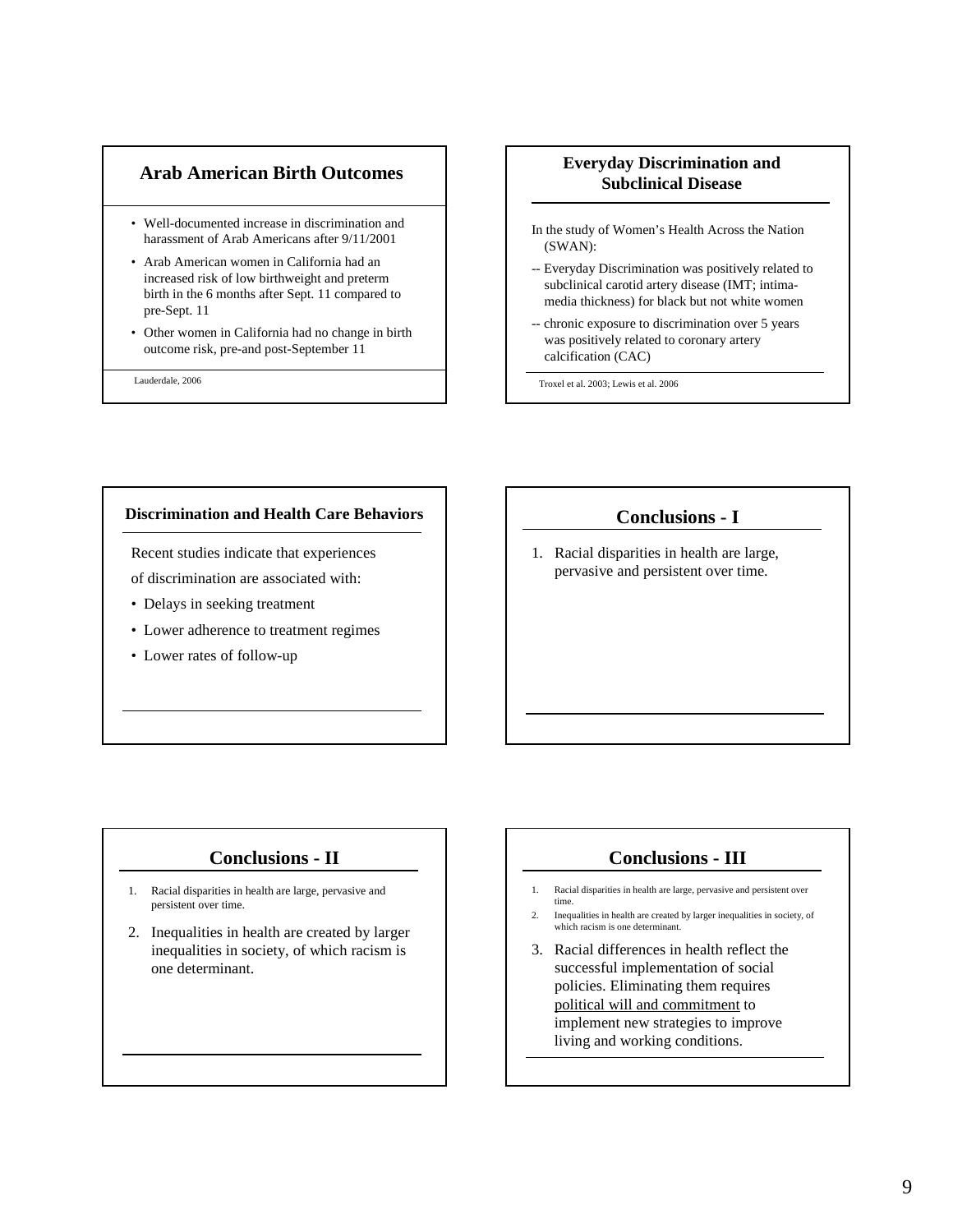### **Arab American Birth Outcomes**

- Well-documented increase in discrimination and harassment of Arab Americans after 9/11/2001
- Arab American women in California had an increased risk of low birthweight and preterm birth in the 6 months after Sept. 11 compared to pre-Sept. 11
- Other women in California had no change in birth outcome risk, pre-and post-September 11

Lauderdale, 2006

## **Everyday Discrimination and Subclinical Disease**

- In the study of Women's Health Across the Nation (SWAN):
- -- Everyday Discrimination was positively related to subclinical carotid artery disease (IMT; intimamedia thickness) for black but not white women
- -- chronic exposure to discrimination over 5 years was positively related to coronary artery calcification (CAC)
	- Troxel et al. 2003; Lewis et al. 2006

### **Discrimination and Health Care Behaviors**

Recent studies indicate that experiences

of discrimination are associated with:

- Delays in seeking treatment
- Lower adherence to treatment regimes
- Lower rates of follow-up

### **Conclusions - I**

1. Racial disparities in health are large, pervasive and persistent over time.

### **Conclusions - II**

1. Racial disparities in health are large, pervasive and persistent over time.

2. Inequalities in health are created by larger inequalities in society, of which racism is one determinant.

### **Conclusions - III**

- 1. Racial disparities in health are large, pervasive and persistent over time.
- 2. Inequalities in health are created by larger inequalities in society, of which racism is one determinant.
- 3. Racial differences in health reflect the successful implementation of social policies. Eliminating them requires political will and commitment to implement new strategies to improve living and working conditions.